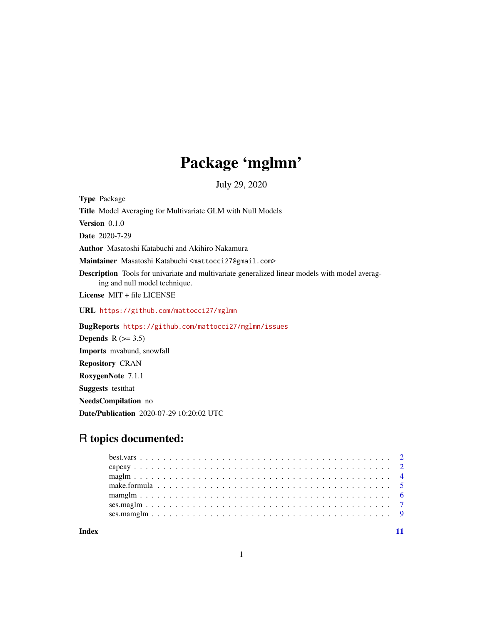# Package 'mglmn'

July 29, 2020

Type Package Title Model Averaging for Multivariate GLM with Null Models Version 0.1.0 Date 2020-7-29 Author Masatoshi Katabuchi and Akihiro Nakamura Maintainer Masatoshi Katabuchi <mattocci27@gmail.com> Description Tools for univariate and multivariate generalized linear models with model averaging and null model technique. License MIT + file LICENSE URL <https://github.com/mattocci27/mglmn> BugReports <https://github.com/mattocci27/mglmn/issues> Depends  $R$  ( $>= 3.5$ ) Imports mvabund, snowfall Repository CRAN RoxygenNote 7.1.1 Suggests testthat NeedsCompilation no Date/Publication 2020-07-29 10:20:02 UTC

# R topics documented:

**Index** [11](#page-10-0)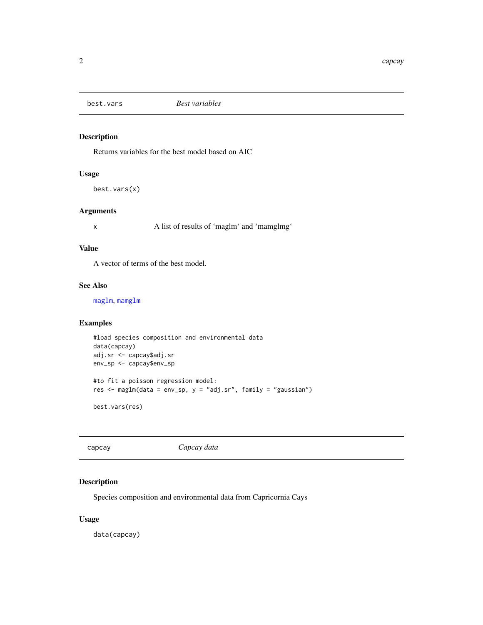<span id="page-1-0"></span>

# Description

Returns variables for the best model based on AIC

# Usage

best.vars(x)

#### Arguments

x A list of results of 'maglm' and 'mamglmg'

#### Value

A vector of terms of the best model.

# See Also

[maglm](#page-3-1), [mamglm](#page-5-1)

# Examples

```
#load species composition and environmental data
data(capcay)
adj.sr <- capcay$adj.sr
env_sp <- capcay$env_sp
#to fit a poisson regression model:
res <- maglm(data = env_sp, y = "adj.sr", family = "gaussian")
best.vars(res)
```
capcay *Capcay data*

# **Description**

Species composition and environmental data from Capricornia Cays

# Usage

data(capcay)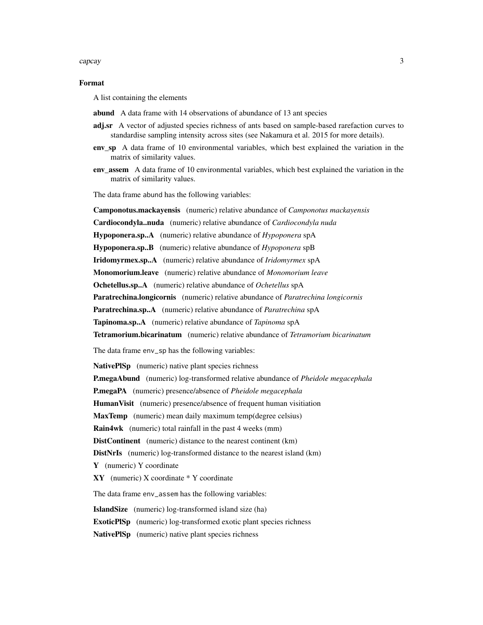#### capcay 3

#### Format

A list containing the elements

- abund A data frame with 14 observations of abundance of 13 ant species
- adj.sr A vector of adjusted species richness of ants based on sample-based rarefaction curves to standardise sampling intensity across sites (see Nakamura et al. 2015 for more details).
- env\_sp A data frame of 10 environmental variables, which best explained the variation in the matrix of similarity values.
- env\_assem A data frame of 10 environmental variables, which best explained the variation in the matrix of similarity values.

The data frame abund has the following variables:

Camponotus.mackayensis (numeric) relative abundance of *Camponotus mackayensis* Cardiocondyla..nuda (numeric) relative abundance of *Cardiocondyla nuda*

Hypoponera.sp..A (numeric) relative abundance of *Hypoponera* spA

Hypoponera.sp..B (numeric) relative abundance of *Hypoponera* spB

Iridomyrmex.sp..A (numeric) relative abundance of *Iridomyrmex* spA

Monomorium.leave (numeric) relative abundance of *Monomorium leave*

Ochetellus.sp..A (numeric) relative abundance of *Ochetellus* spA

Paratrechina.longicornis (numeric) relative abundance of *Paratrechina longicornis*

Paratrechina.sp..A (numeric) relative abundance of *Paratrechina* spA

Tapinoma.sp..A (numeric) relative abundance of *Tapinoma* spA

Tetramorium.bicarinatum (numeric) relative abundance of *Tetramorium bicarinatum*

The data frame env\_sp has the following variables:

NativePlSp (numeric) native plant species richness

P.megaAbund (numeric) log-transformed relative abundance of *Pheidole megacephala*

P.megaPA (numeric) presence/absence of *Pheidole megacephala*

HumanVisit (numeric) presence/absence of frequent human visitiation

MaxTemp (numeric) mean daily maximum temp(degree celsius)

Rain4wk (numeric) total rainfall in the past 4 weeks (mm)

DistContinent (numeric) distance to the nearest continent (km)

DistNrIs (numeric) log-transformed distance to the nearest island (km)

Y (numeric) Y coordinate

XY (numeric) X coordinate \* Y coordinate

The data frame env\_assem has the following variables:

IslandSize (numeric) log-transformed island size (ha)

ExoticPlSp (numeric) log-transformed exotic plant species richness

NativePISp (numeric) native plant species richness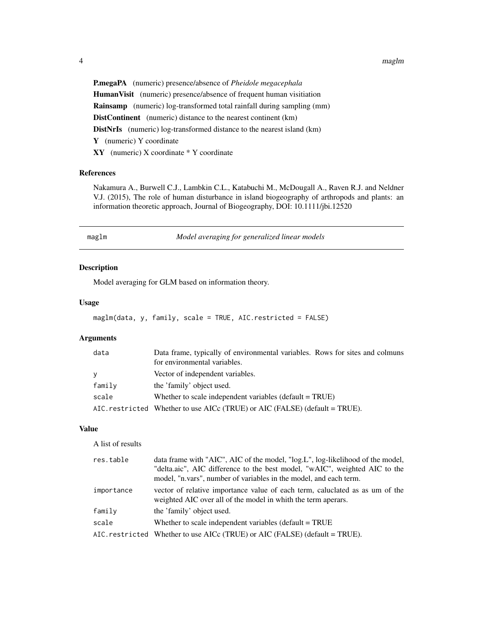4 maglm

P.megaPA (numeric) presence/absence of *Pheidole megacephala* HumanVisit (numeric) presence/absence of frequent human visitiation Rainsamp (numeric) log-transformed total rainfall during sampling (mm) DistContinent (numeric) distance to the nearest continent (km) DistNrIs (numeric) log-transformed distance to the nearest island (km) Y (numeric) Y coordinate XY (numeric) X coordinate \* Y coordinate

# References

Nakamura A., Burwell C.J., Lambkin C.L., Katabuchi M., McDougall A., Raven R.J. and Neldner V.J. (2015), The role of human disturbance in island biogeography of arthropods and plants: an information theoretic approach, Journal of Biogeography, DOI: 10.1111/jbi.12520

<span id="page-3-1"></span>

n **maglim** *Model averaging for generalized linear models* 

# Description

Model averaging for GLM based on information theory.

# Usage

```
maglm(data, y, family, scale = TRUE, AIC.restricted = FALSE)
```
# Arguments

| data         | Data frame, typically of environmental variables. Rows for sites and colmuns |
|--------------|------------------------------------------------------------------------------|
|              | for environmental variables.                                                 |
| $\mathbf{y}$ | Vector of independent variables.                                             |
| family       | the 'family' object used.                                                    |
| scale        | Whether to scale independent variables (default $= TRUE$ )                   |
|              | AIC. restricted Whether to use AICc (TRUE) or AIC (FALSE) (default = TRUE).  |

# Value

A list of results

| res.table  | data frame with "AIC", AIC of the model, "log.L", log-likelihood of the model,                                                                |
|------------|-----------------------------------------------------------------------------------------------------------------------------------------------|
|            | "delta.aic", AIC difference to the best model, "wAIC", weighted AIC to the                                                                    |
|            | model, "n.vars", number of variables in the model, and each term.                                                                             |
| importance | vector of relative importance value of each term, caluclated as as um of the<br>weighted AIC over all of the model in whith the term aperars. |
| family     | the 'family' object used.                                                                                                                     |
| scale      | Whether to scale independent variables (default $=$ TRUE                                                                                      |
|            | AIC. restricted Whether to use AICc (TRUE) or AIC (FALSE) (default = TRUE).                                                                   |

<span id="page-3-0"></span>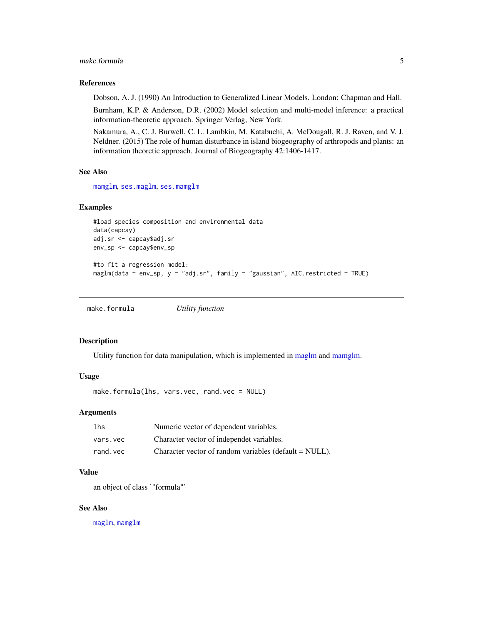# <span id="page-4-0"></span>make.formula 5

#### References

Dobson, A. J. (1990) An Introduction to Generalized Linear Models. London: Chapman and Hall.

Burnham, K.P. & Anderson, D.R. (2002) Model selection and multi-model inference: a practical information-theoretic approach. Springer Verlag, New York.

Nakamura, A., C. J. Burwell, C. L. Lambkin, M. Katabuchi, A. McDougall, R. J. Raven, and V. J. Neldner. (2015) The role of human disturbance in island biogeography of arthropods and plants: an information theoretic approach. Journal of Biogeography 42:1406-1417.

# See Also

[mamglm](#page-5-1), [ses.maglm](#page-6-1), [ses.mamglm](#page-8-1)

# Examples

```
#load species composition and environmental data
data(capcay)
adj.sr <- capcay$adj.sr
env_sp <- capcay$env_sp
```

```
#to fit a regression model:
maglm(data = env_sp, y = "adj.sr", family = "gaussian", AIC.restricted = TRUE)
```
make.formula *Utility function*

#### Description

Utility function for data manipulation, which is implemented in [maglm](#page-3-1) and [mamglm.](#page-5-1)

#### Usage

```
make.formula(lhs, vars.vec, rand.vec = NULL)
```
#### Arguments

| 1 <sub>hs</sub> | Numeric vector of dependent variables.                 |
|-----------------|--------------------------------------------------------|
| vars.vec        | Character vector of independet variables.              |
| rand.vec        | Character vector of random variables (default = NULL). |

# Value

an object of class '"formula"'

#### See Also

[maglm](#page-3-1), [mamglm](#page-5-1)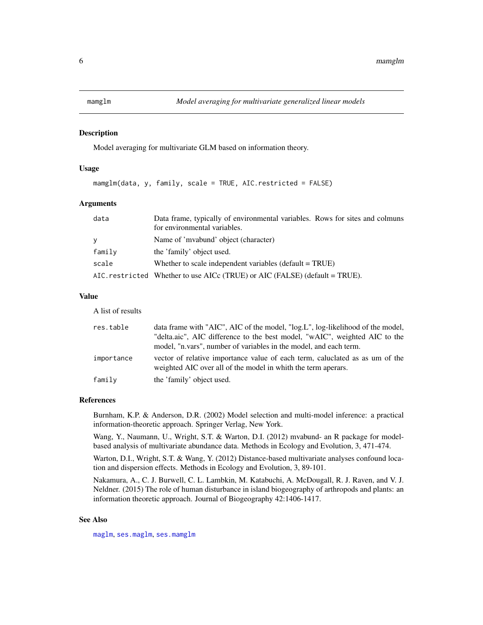<span id="page-5-1"></span><span id="page-5-0"></span>

#### Description

Model averaging for multivariate GLM based on information theory.

#### Usage

mamglm(data, y, family, scale = TRUE, AIC.restricted = FALSE)

#### Arguments

| data     | Data frame, typically of environmental variables. Rows for sites and colmuns<br>for environmental variables. |
|----------|--------------------------------------------------------------------------------------------------------------|
| <b>V</b> | Name of 'mvabund' object (character)                                                                         |
| family   | the 'family' object used.                                                                                    |
| scale    | Whether to scale independent variables (default $= TRUE$ )                                                   |
|          | AIC. restricted Whether to use AICc (TRUE) or AIC (FALSE) (default = TRUE).                                  |

### Value

A list of results

| res.table  | data frame with "AIC", AIC of the model, "log.L", log-likelihood of the model,                                                                |
|------------|-----------------------------------------------------------------------------------------------------------------------------------------------|
|            | "delta.aic", AIC difference to the best model, "wAIC", weighted AIC to the                                                                    |
|            | model, "n.vars", number of variables in the model, and each term.                                                                             |
| importance | vector of relative importance value of each term, caluclated as as um of the<br>weighted AIC over all of the model in whith the term aperars. |
| family     | the 'family' object used.                                                                                                                     |

#### References

Burnham, K.P. & Anderson, D.R. (2002) Model selection and multi-model inference: a practical information-theoretic approach. Springer Verlag, New York.

Wang, Y., Naumann, U., Wright, S.T. & Warton, D.I. (2012) mvabund- an R package for modelbased analysis of multivariate abundance data. Methods in Ecology and Evolution, 3, 471-474.

Warton, D.I., Wright, S.T. & Wang, Y. (2012) Distance-based multivariate analyses confound location and dispersion effects. Methods in Ecology and Evolution, 3, 89-101.

Nakamura, A., C. J. Burwell, C. L. Lambkin, M. Katabuchi, A. McDougall, R. J. Raven, and V. J. Neldner. (2015) The role of human disturbance in island biogeography of arthropods and plants: an information theoretic approach. Journal of Biogeography 42:1406-1417.

#### See Also

[maglm](#page-3-1), [ses.maglm](#page-6-1), [ses.mamglm](#page-8-1)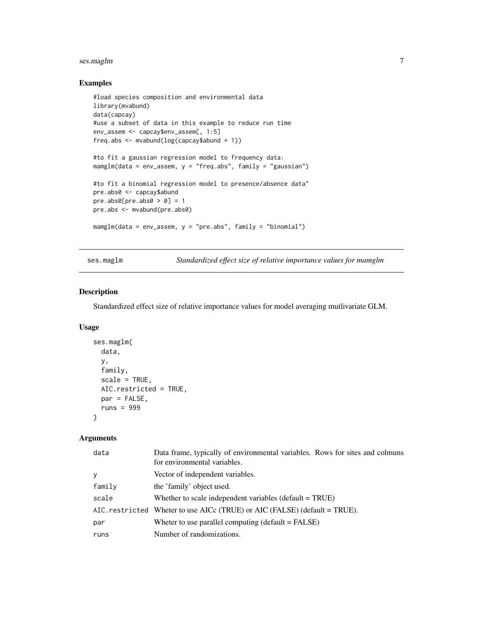# <span id="page-6-0"></span>ses.maglm 7

# Examples

```
#load species composition and environmental data
library(mvabund)
data(capcay)
#use a subset of data in this example to reduce run time
env_assem <- capcay$env_assem[, 1:5]
freq.abs <- mvabund(log(capcay$abund + 1))
#to fit a gaussian regression model to frequency data:
mamplm(data = env_assen, y = "freq.abs", family = "gaussian")#to fit a binomial regression model to presence/absence data"
pre.abs0 <- capcay$abund
pre. abs@[pre. abs@ > 0] = 1pre.abs <- mvabund(pre.abs0)
mamglm(data = env_assem, y = "pre.abs", family = "binomial")
```
<span id="page-6-1"></span>ses.maglm *Standardized effect size of relative importance values for mamglm*

# Description

Standardized effect size of relative importance values for model averaging mutlivariate GLM.

#### Usage

```
ses.maglm(
  data,
  y,
  family,
  scale = TRUE,
 AIC.restricted = TRUE,
 par = FALSE,
  runs = 999
)
```
# Arguments

| data   | Data frame, typically of environmental variables. Rows for sites and colmuns<br>for environmental variables. |
|--------|--------------------------------------------------------------------------------------------------------------|
| У      | Vector of independent variables.                                                                             |
| family | the 'family' object used.                                                                                    |
| scale  | Whether to scale independent variables (default $= TRUE$ )                                                   |
|        | AIC. restricted Wheter to use AICc (TRUE) or AIC (FALSE) (default = TRUE).                                   |
| par    | Wheter to use parallel computing $(detault = FALSE)$                                                         |
| runs   | Number of randomizations.                                                                                    |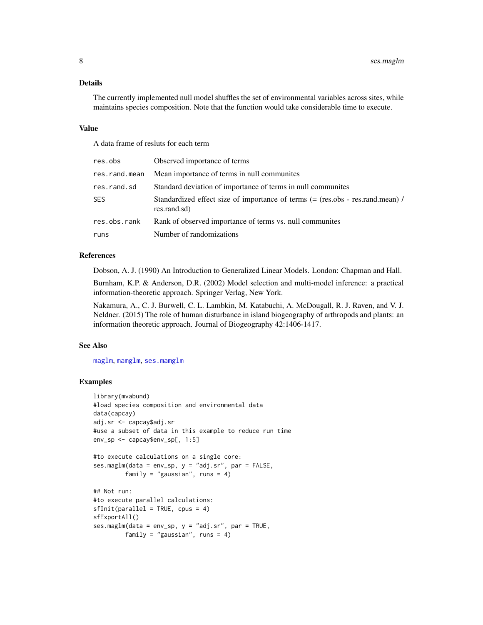# <span id="page-7-0"></span>Details

The currently implemented null model shuffles the set of environmental variables across sites, while maintains species composition. Note that the function would take considerable time to execute.

#### Value

A data frame of resluts for each term

| res.obs       | Observed importance of terms                                                                   |
|---------------|------------------------------------------------------------------------------------------------|
| res.rand.mean | Mean importance of terms in null communities                                                   |
| res.rand.sd   | Standard deviation of importance of terms in null communities                                  |
| <b>SES</b>    | Standardized effect size of importance of terms (= (res.obs - res.rand.mean) /<br>res.rand.sd) |
| res.obs.rank  | Rank of observed importance of terms vs. null communities                                      |
| runs          | Number of randomizations                                                                       |

#### References

Dobson, A. J. (1990) An Introduction to Generalized Linear Models. London: Chapman and Hall.

Burnham, K.P. & Anderson, D.R. (2002) Model selection and multi-model inference: a practical information-theoretic approach. Springer Verlag, New York.

Nakamura, A., C. J. Burwell, C. L. Lambkin, M. Katabuchi, A. McDougall, R. J. Raven, and V. J. Neldner. (2015) The role of human disturbance in island biogeography of arthropods and plants: an information theoretic approach. Journal of Biogeography 42:1406-1417.

#### See Also

[maglm](#page-3-1), [mamglm](#page-5-1), [ses.mamglm](#page-8-1)

# Examples

```
library(mvabund)
#load species composition and environmental data
data(capcay)
adj.sr <- capcay$adj.sr
#use a subset of data in this example to reduce run time
env_sp <- capcay$env_sp[, 1:5]
#to execute calculations on a single core:
ses.maglm(data = env_sp, y = "adj.sr", par = FALSE,family = "gaussian", runs = 4)
## Not run:
#to execute parallel calculations:
sfInit(parallel = TRUE, cpus = 4)sfExportAll()
ses.maglm(data = env_sp, y = "adj.sr", par = TRUE,family = "gaussian", runs = 4)
```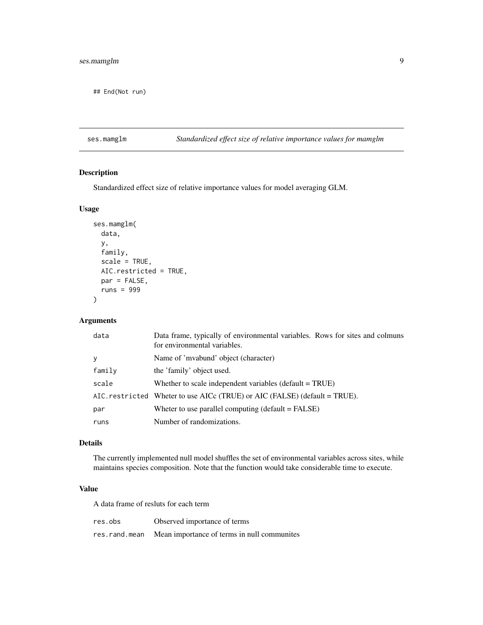# <span id="page-8-0"></span>ses.mamglm 9

## End(Not run)

# <span id="page-8-1"></span>ses.mamglm *Standardized effect size of relative importance values for mamglm*

# Description

Standardized effect size of relative importance values for model averaging GLM.

### Usage

```
ses.mamglm(
  data,
  y,
  family,
  scale = TRUE,
  AIC.restricted = TRUE,
 par = FALSE,
  runs = 999
\mathcal{L}
```
# Arguments

| data   | Data frame, typically of environmental variables. Rows for sites and colmuns<br>for environmental variables. |
|--------|--------------------------------------------------------------------------------------------------------------|
| y      | Name of 'mvabund' object (character)                                                                         |
| family | the 'family' object used.                                                                                    |
| scale  | Whether to scale independent variables (default $= TRUE$ )                                                   |
|        | AIC. restricted Wheter to use AICc (TRUE) or AIC (FALSE) (default = TRUE).                                   |
| par    | Wheter to use parallel computing $(default = FALSE)$                                                         |
| runs   | Number of randomizations.                                                                                    |

# Details

The currently implemented null model shuffles the set of environmental variables across sites, while maintains species composition. Note that the function would take considerable time to execute.

# Value

A data frame of resluts for each term

| res.obs       | Observed importance of terms                |
|---------------|---------------------------------------------|
| res.rand.mean | Mean importance of terms in null communites |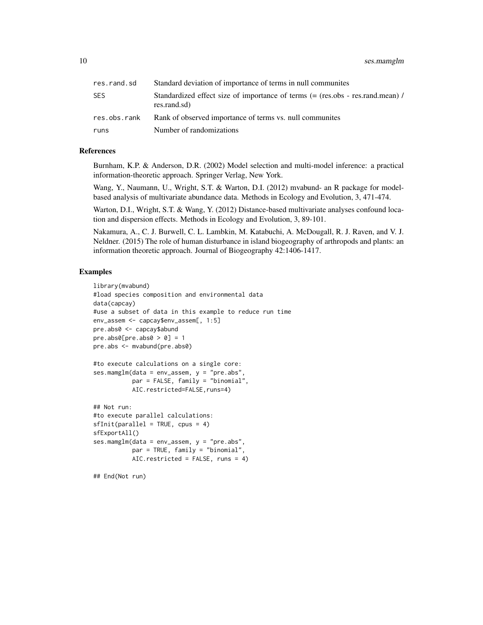| res.rand.sd  | Standard deviation of importance of terms in null communites                                   |
|--------------|------------------------------------------------------------------------------------------------|
| SES          | Standardized effect size of importance of terms (= (res.obs - res.rand.mean) /<br>res.rand.sd) |
| res.obs.rank | Rank of observed importance of terms vs. null communities                                      |
| runs         | Number of randomizations                                                                       |

### References

Burnham, K.P. & Anderson, D.R. (2002) Model selection and multi-model inference: a practical information-theoretic approach. Springer Verlag, New York.

Wang, Y., Naumann, U., Wright, S.T. & Warton, D.I. (2012) mvabund- an R package for modelbased analysis of multivariate abundance data. Methods in Ecology and Evolution, 3, 471-474.

Warton, D.I., Wright, S.T. & Wang, Y. (2012) Distance-based multivariate analyses confound location and dispersion effects. Methods in Ecology and Evolution, 3, 89-101.

Nakamura, A., C. J. Burwell, C. L. Lambkin, M. Katabuchi, A. McDougall, R. J. Raven, and V. J. Neldner. (2015) The role of human disturbance in island biogeography of arthropods and plants: an information theoretic approach. Journal of Biogeography 42:1406-1417.

#### Examples

```
library(mvabund)
#load species composition and environmental data
data(capcay)
#use a subset of data in this example to reduce run time
env_assem <- capcay$env_assem[, 1:5]
pre.abs0 <- capcay$abund
pre. abs@[pre. abs@ > 0] = 1pre.abs <- mvabund(pre.abs0)
#to execute calculations on a single core:
ses.mamglm(data = env_assem, y = "pre.abs",
          par = FALSE, family = "binomial",
           AIC.restricted=FALSE,runs=4)
## Not run:
#to execute parallel calculations:
sfInit(parallel = TRUE, cpus = 4)sfExportAll()
ses.mamglm(data = env_assem, y = "pre.abs",
           par = TRUE, family = "binomial",
          AIC.restricted = FALSE, runs = 4)
## End(Not run)
```